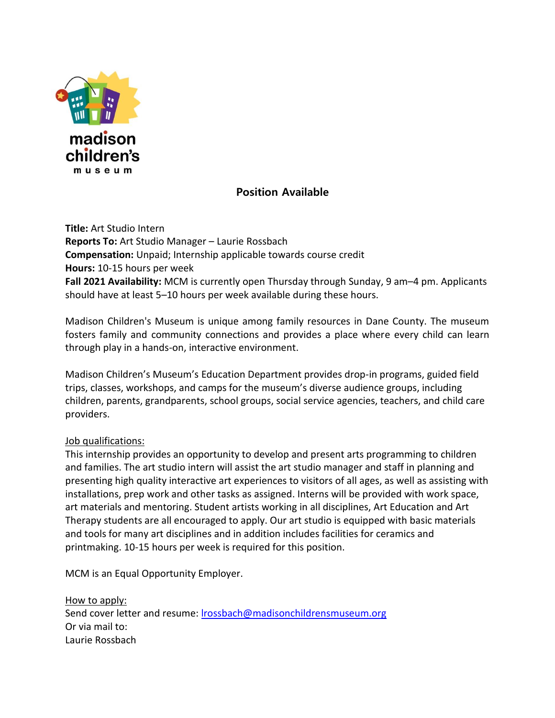

## **Position Available**

**Title:** Art Studio Intern **Reports To:** Art Studio Manager – Laurie Rossbach **Compensation:** Unpaid; Internship applicable towards course credit **Hours:** 10-15 hours per week **Fall 2021 Availability:** MCM is currently open Thursday through Sunday, 9 am–4 pm. Applicants should have at least 5–10 hours per week available during these hours.

Madison Children's Museum is unique among family resources in Dane County. The museum fosters family and community connections and provides a place where every child can learn through play in a hands-on, interactive environment.

Madison Children's Museum's Education Department provides drop-in programs, guided field trips, classes, workshops, and camps for the museum's diverse audience groups, including children, parents, grandparents, school groups, social service agencies, teachers, and child care providers.

## Job qualifications:

This internship provides an opportunity to develop and present arts programming to children and families. The art studio intern will assist the art studio manager and staff in planning and presenting high quality interactive art experiences to visitors of all ages, as well as assisting with installations, prep work and other tasks as assigned. Interns will be provided with work space, art materials and mentoring. Student artists working in all disciplines, Art Education and Art Therapy students are all encouraged to apply. Our art studio is equipped with basic materials and tools for many art disciplines and in addition includes facilities for ceramics and printmaking. 10-15 hours per week is required for this position.

MCM is an Equal Opportunity Employer.

How to apply: Send cover letter and resume: [lrossbach@madisonchildrensmuseum.org](mailto:lrossbach@madisonchildrensmuseum.org) Or via mail to: Laurie Rossbach